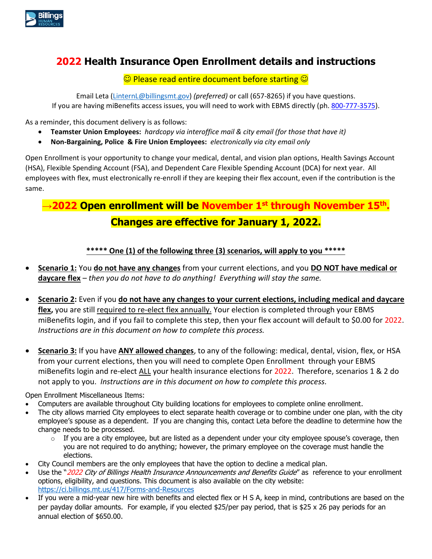

## **2022 Health Insurance Open Enrollment details and instructions**

 $\odot$  Please read entire document before starting  $\odot$ 

Email Leta [\(LinternL@billingsmt.gov\)](mailto:LinternL@billingsmt.gov) *(preferred)* or call (657-8265) if you have questions. If you are having miBenefits access issues, you will need to work with EBMS directly (ph. [800-777-3575\)](tel:18007773575).

As a reminder, this document delivery is as follows:

- **Teamster Union Employees:** *hardcopy via interoffice mail & city email (for those that have it)*
- **Non-Bargaining, Police & Fire Union Employees:** *electronically via city email only*

Open Enrollment is your opportunity to change your [medical,](https://hr.umich.edu/benefits-wellness/health-well-being/health-plans) dental, an[d vision plan](https://hr.umich.edu/benefits-wellness/health-well-being/vision-plan) options, Health Savings Account (HSA), Flexible Spending Account (FSA), and Dependent Care Flexible Spending Account (DCA) for next year. All employees with flex, must electronically re-enroll if they are keeping their flex account, even if the contribution is the same.

# **→2022 Open enrollment will be November 1st through November 15th . Changes are effective for January 1, 2022.**

### **\*\*\*\*\* One (1) of the following three (3) scenarios, will apply to you \*\*\*\*\***

- **Scenario 1:** You **do not have any changes** from your current elections, and you **DO NOT have medical or daycare flex** – *then you do not have to do anything! Everything will stay the same.*
- **Scenario 2:** Even if you **do not have any changes to your current elections, including medical and daycare flex,** you are still required to re-elect flex annually. Your election is completed through your EBMS miBenefits login, and if you fail to complete this step, then your flex account will default to \$0.00 for 2022. *Instructions are in this document on how to complete this process.*
- **Scenario 3:** If you have **ANY allowed changes**, to any of the following: medical, dental, vision, flex, or HSA from your current elections, then you will need to complete Open Enrollment through your EBMS miBenefits login and re-elect ALL your health insurance elections for 2022. Therefore, scenarios 1 & 2 do not apply to you. *Instructions are in this document on how to complete this process.*

Open Enrollment Miscellaneous Items:

- Computers are available throughout City building locations for employees to complete online enrollment.
- The city allows married City employees to elect separate health coverage or to combine under one plan, with the city employee's spouse as a dependent. If you are changing this, contact Leta before the deadline to determine how the change needs to be processed.
	- $\circ$  If you are a city employee, but are listed as a dependent under your city employee spouse's coverage, then you are not required to do anything; however, the primary employee on the coverage must handle the elections.
- City Council members are the only employees that have the option to decline a medical plan.
- Use the "2022 City of Billings Health Insurance Announcements and Benefits Guide" as reference to your enrollment options, eligibility, and questions. This document is also available on the city website: <https://ci.billings.mt.us/417/Forms-and-Resources>
- If you were a mid-year new hire with benefits and elected flex or H S A, keep in mind, contributions are based on the per payday dollar amounts. For example, if you elected \$25/per pay period, that is \$25 x 26 pay periods for an annual election of \$650.00.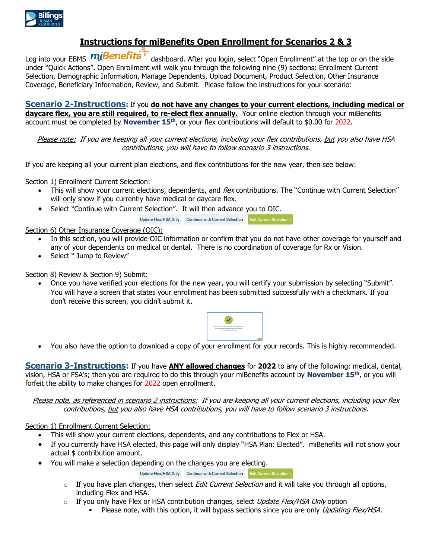

## **Instructions for miBenefits Open Enrollment for Scenarios 2 & 3**

Log into your EBMS **miBenefits** dashboard. After you login, select "Open Enrollment" at the top or on the side under "Quick Actions". Open Enrollment will walk you through the following nine (9) sections: Enrollment Current Selection, Demographic Information, Manage Dependents, Upload Document, Product Selection, Other Insurance Coverage, Beneficiary Information, Review, and Submit. Please follow the instructions for your scenario:

**Scenario 2-Instructions:** If you **do not have any changes to your current elections, including medical or daycare flex, you are still required, to re-elect flex annually.** Your online election through your miBenefits account must be completed by **November 15th**, or your flex contributions will default to \$0.00 for 2022.

Please note: If you are keeping all your current elections, including your flex contributions, but you also have HSA contributions, you will have to follow scenario 3 instructions.

If you are keeping all your current plan elections, and flex contributions for the new year, then see below:

Section 1) Enrollment Current Selection:

- This will show your current elections, dependents, and flex contributions. The "Continue with Current Selection" will only show if you currently have medical or daycare flex.
- Select "Continue with Current Selection". It will then advance you to OIC.

Update Flex/HSA Only Continue with Current Selection Edit Current Selection >

Section 6) Other Insurance Coverage (OIC):

- In this section, you will provide OIC information or confirm that you do not have other coverage for yourself and any of your dependents on medical or dental. There is no coordination of coverage for Rx or Vision.
- Select " Jump to Review"

Section 8) Review & Section 9) Submit:

• Once you have verified your elections for the new year, you will certify your submission by selecting "Submit". You will have a screen that states your enrollment has been submitted successfully with a checkmark. If you don't receive this screen, you didn't submit it.



• You also have the option to download a copy of your enrollment for your records. This is highly recommended.

**Scenario 3-Instructions:** If you have **ANY allowed changes** for **2022** to any of the following: medical, dental, vision, HSA or FSA's; then you are required to do this through your miBenefits account by **November 15th**, or you will forfeit the ability to make changes for 2022 open enrollment.

Please note, as referenced in scenario 2 instructions: If you are keeping all your current elections, including your flex contributions, but you also have HSA contributions, you will have to follow scenario 3 instructions.

#### Section 1) Enrollment Current Selection:

- This will show your current elections, dependents, and any contributions to Flex or HSA.
- If you currently have HSA elected, this page will only display "HSA Plan: Elected". miBenefits will not show your actual \$ contribution amount.
- You will make a selection depending on the changes you are electing.

Update Flex/HSA Only Continue with Current Selection Edit Current Selection >

- $\circ$  If you have plan changes, then select *Edit Current Selection* and it will take you through all options, including Flex and HSA.
- $\circ$  If you only have Flex or HSA contribution changes, select *Update Flex/HSA Only* option
	- Please note, with this option, it will bypass sections since you are only Updating Flex/HSA.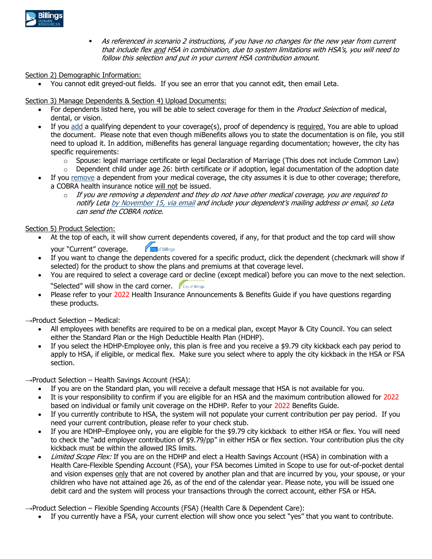

**•** As referenced in scenario 2 instructions, if you have no changes for the new year from current that include flex and HSA in combination, due to system limitations with HSA's, you will need to follow this selection and put in your current HSA contribution amount.

Section 2) Demographic Information:

• You cannot edit greyed-out fields. If you see an error that you cannot edit, then email Leta.

Section 3) Manage Dependents & Section 4) Upload Documents:

- For dependents listed here, you will be able to select coverage for them in the Product Selection of medical, dental, or vision.
- If you add a qualifying dependent to your coverage(s), proof of dependency is required. You are able to upload the document. Please note that even though miBenefits allows you to state the documentation is on file, you still need to upload it. In addition, miBenefits has general language regarding documentation; however, the city has specific requirements:
	- $\circ$  Spouse: legal marriage certificate or legal Declaration of Marriage (This does not include Common Law)
	- $\circ$  Dependent child under age 26: birth certificate or if adoption, legal documentation of the adoption date
- If you remove a dependent from your medical coverage, the city assumes it is due to other coverage; therefore, a COBRA health insurance notice will not be issued.
	- $\circ$  If you are removing a dependent and they do not have other medical coverage, you are required to notify Leta by November 15, via email and include your dependent's mailing address or email, so Leta can send the COBRA notice.

Section 5) Product Selection:

- At the top of each, it will show current dependents covered, if any, for that product and the top card will show **City** of Billings your "Current" coverage.
- If you want to change the dependents covered for a specific product, click the dependent (checkmark will show if selected) for the product to show the plans and premiums at that coverage level.
- You are required to select a coverage card or decline (except medical) before you can move to the next selection. "Selected" will show in the card corner. City of Billings
- Please refer to your 2022 Health Insurance Announcements & Benefits Guide if you have questions regarding these products.

 $\rightarrow$ Product Selection – Medical:

- All employees with benefits are required to be on a medical plan, except Mayor & City Council. You can select either the Standard Plan or the High Deductible Health Plan (HDHP).
- If you select the HDHP-Employee only, this plan is free and you receive a \$9.79 city kickback each pay period to apply to HSA, if eligible, or medical flex. Make sure you select where to apply the city kickback in the HSA or FSA section.

→Product Selection – Health Savings Account (HSA):

- If you are on the Standard plan, you will receive a default message that HSA is not available for you.
- It is your responsibility to confirm if you are eligible for an HSA and the maximum contribution allowed for 2022 based on individual or family unit coverage on the HDHP. Refer to your 2022 Benefits Guide.
- If you currently contribute to HSA, the system will not populate your current contribution per pay period. If you need your current contribution, please refer to your check stub.
- If you are HDHP–Employee only, you are eligible for the \$9.79 city kickback to either HSA or flex. You will need to check the "add employer contribution of \$9.79/pp" in either HSA or flex section. Your contribution plus the city kickback must be within the allowed IRS limits.
- Limited Scope Flex: If you are on the HDHP and elect a Health Savings Account (HSA) in combination with a Health Care-Flexible Spending Account (FSA), your FSA becomes Limited in Scope to use for out-of-pocket dental and vision expenses only that are not covered by another plan and that are incurred by you, your spouse, or your children who have not attained age 26, as of the end of the calendar year. Please note, you will be issued one debit card and the system will process your transactions through the correct account, either FSA or HSA.

→Product Selection – Flexible Spending Accounts (FSA) (Health Care & Dependent Care):

• If you currently have a FSA, your current election will show once you select "yes" that you want to contribute.